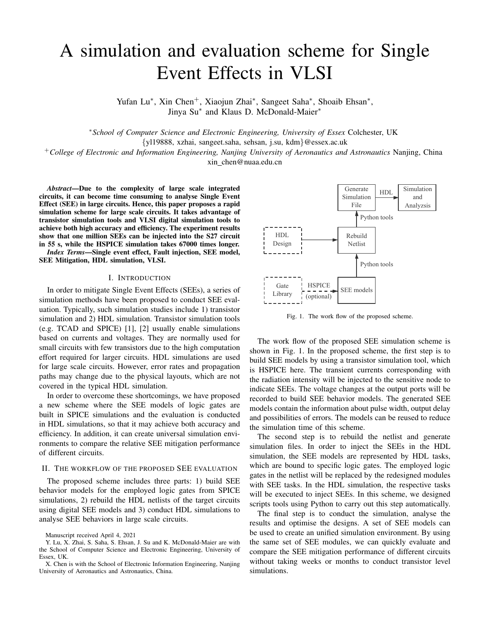# A simulation and evaluation scheme for Single Event Effects in VLSI

Yufan Lu\*, Xin Chen<sup>+</sup>, Xiaojun Zhai\*, Sangeet Saha\*, Shoaib Ehsan\*, Jinya Su<sup>\*</sup> and Klaus D. McDonald-Maier<sup>\*</sup>

<sup>∗</sup>*School of Computer Science and Electronic Engineering, University of Essex* Colchester, UK {yl19888, xzhai, sangeet.saha, sehsan, j.su, kdm}@essex.ac.uk

<sup>+</sup>*College of Electronic and Information Engineering, Nanjing University of Aeronautics and Astronautics* Nanjing, China xin chen@nuaa.edu.cn

*Abstract*—Due to the complexity of large scale integrated circuits, it can become time consuming to analyse Single Event Effect (SEE) in large circuits. Hence, this paper proposes a rapid simulation scheme for large scale circuits. It takes advantage of transistor simulation tools and VLSI digital simulation tools to achieve both high accuracy and efficiency. The experiment results show that one million SEEs can be injected into the S27 circuit in 55 s, while the HSPICE simulation takes 67000 times longer. *Index Terms*—Single event effect, Fault injection, SEE model, SEE Mitigation, HDL simulation, VLSI.

#### I. INTRODUCTION

In order to mitigate Single Event Effects (SEEs), a series of simulation methods have been proposed to conduct SEE evaluation. Typically, such simulation studies include 1) transistor simulation and 2) HDL simulation. Transistor simulation tools (e.g. TCAD and SPICE) [1], [2] usually enable simulations based on currents and voltages. They are normally used for small circuits with few transistors due to the high computation effort required for larger circuits. HDL simulations are used for large scale circuits. However, error rates and propagation paths may change due to the physical layouts, which are not covered in the typical HDL simulation.

In order to overcome these shortcomings, we have proposed a new scheme where the SEE models of logic gates are built in SPICE simulations and the evaluation is conducted in HDL simulations, so that it may achieve both accuracy and efficiency. In addition, it can create universal simulation environments to compare the relative SEE mitigation performance of different circuits.

### II. THE WORKFLOW OF THE PROPOSED SEE EVALUATION

The proposed scheme includes three parts: 1) build SEE behavior models for the employed logic gates from SPICE simulations, 2) rebuild the HDL netlists of the target circuits using digital SEE models and 3) conduct HDL simulations to analyse SEE behaviors in large scale circuits.



Fig. 1. The work flow of the proposed scheme.

The work flow of the proposed SEE simulation scheme is shown in Fig. 1. In the proposed scheme, the first step is to build SEE models by using a transistor simulation tool, which is HSPICE here. The transient currents corresponding with the radiation intensity will be injected to the sensitive node to indicate SEEs. The voltage changes at the output ports will be recorded to build SEE behavior models. The generated SEE models contain the information about pulse width, output delay and possibilities of errors. The models can be reused to reduce the simulation time of this scheme.

The second step is to rebuild the netlist and generate simulation files. In order to inject the SEEs in the HDL simulation, the SEE models are represented by HDL tasks, which are bound to specific logic gates. The employed logic gates in the netlist will be replaced by the redesigned modules with SEE tasks. In the HDL simulation, the respective tasks will be executed to inject SEEs. In this scheme, we designed scripts tools using Python to carry out this step automatically.

The final step is to conduct the simulation, analyse the results and optimise the designs. A set of SEE models can be used to create an unified simulation environment. By using the same set of SEE modules, we can quickly evaluate and compare the SEE mitigation performance of different circuits without taking weeks or months to conduct transistor level simulations.

Manuscript received April 4, 2021

Y. Lu, X. Zhai, S. Saha, S. Ehsan, J. Su and K. McDonald-Maier are with the School of Computer Science and Electronic Engineering, University of Essex, UK.

X. Chen is with the School of Electronic Information Engineering, Nanjing University of Aeronautics and Astronautics, China.